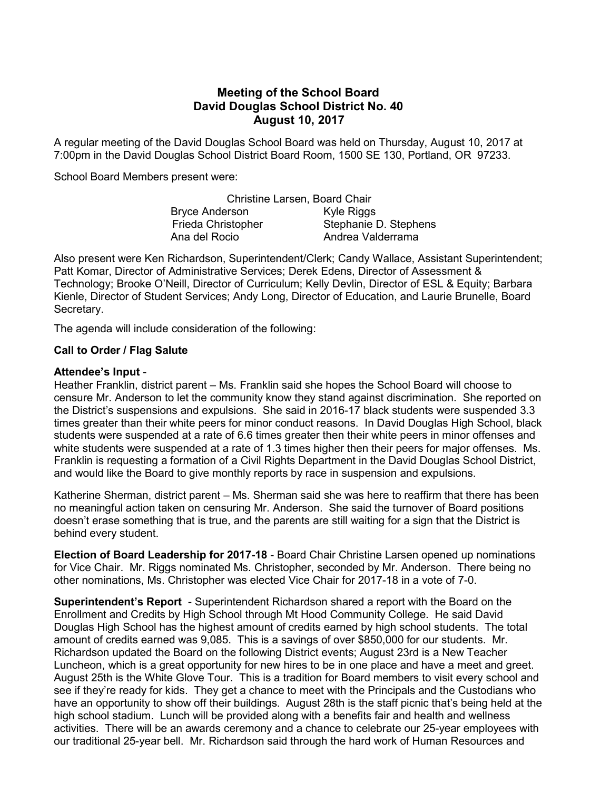## Meeting of the School Board David Douglas School District No. 40 August 10, 2017

A regular meeting of the David Douglas School Board was held on Thursday, August 10, 2017 at 7:00pm in the David Douglas School District Board Room, 1500 SE 130, Portland, OR 97233.

School Board Members present were:

|                           | <b>Christine Larsen, Board Chair</b> |
|---------------------------|--------------------------------------|
| <b>Bryce Anderson</b>     | Kyle Riggs                           |
| <b>Frieda Christopher</b> | Stephanie D. Stephens                |
| Ana del Rocio             | Andrea Valderrama                    |

Also present were Ken Richardson, Superintendent/Clerk; Candy Wallace, Assistant Superintendent; Patt Komar, Director of Administrative Services; Derek Edens, Director of Assessment & Technology; Brooke O'Neill, Director of Curriculum; Kelly Devlin, Director of ESL & Equity; Barbara Kienle, Director of Student Services; Andy Long, Director of Education, and Laurie Brunelle, Board Secretary.

The agenda will include consideration of the following:

## Call to Order / Flag Salute

## Attendee's Input -

Heather Franklin, district parent – Ms. Franklin said she hopes the School Board will choose to censure Mr. Anderson to let the community know they stand against discrimination. She reported on the District's suspensions and expulsions. She said in 2016-17 black students were suspended 3.3 times greater than their white peers for minor conduct reasons. In David Douglas High School, black students were suspended at a rate of 6.6 times greater then their white peers in minor offenses and white students were suspended at a rate of 1.3 times higher then their peers for major offenses. Ms. Franklin is requesting a formation of a Civil Rights Department in the David Douglas School District, and would like the Board to give monthly reports by race in suspension and expulsions.

Katherine Sherman, district parent – Ms. Sherman said she was here to reaffirm that there has been no meaningful action taken on censuring Mr. Anderson. She said the turnover of Board positions doesn't erase something that is true, and the parents are still waiting for a sign that the District is behind every student.

Election of Board Leadership for 2017-18 - Board Chair Christine Larsen opened up nominations for Vice Chair. Mr. Riggs nominated Ms. Christopher, seconded by Mr. Anderson. There being no other nominations, Ms. Christopher was elected Vice Chair for 2017-18 in a vote of 7-0.

Superintendent's Report - Superintendent Richardson shared a report with the Board on the Enrollment and Credits by High School through Mt Hood Community College. He said David Douglas High School has the highest amount of credits earned by high school students. The total amount of credits earned was 9,085. This is a savings of over \$850,000 for our students. Mr. Richardson updated the Board on the following District events; August 23rd is a New Teacher Luncheon, which is a great opportunity for new hires to be in one place and have a meet and greet. August 25th is the White Glove Tour. This is a tradition for Board members to visit every school and see if they're ready for kids. They get a chance to meet with the Principals and the Custodians who have an opportunity to show off their buildings. August 28th is the staff picnic that's being held at the high school stadium. Lunch will be provided along with a benefits fair and health and wellness activities. There will be an awards ceremony and a chance to celebrate our 25-year employees with our traditional 25-year bell. Mr. Richardson said through the hard work of Human Resources and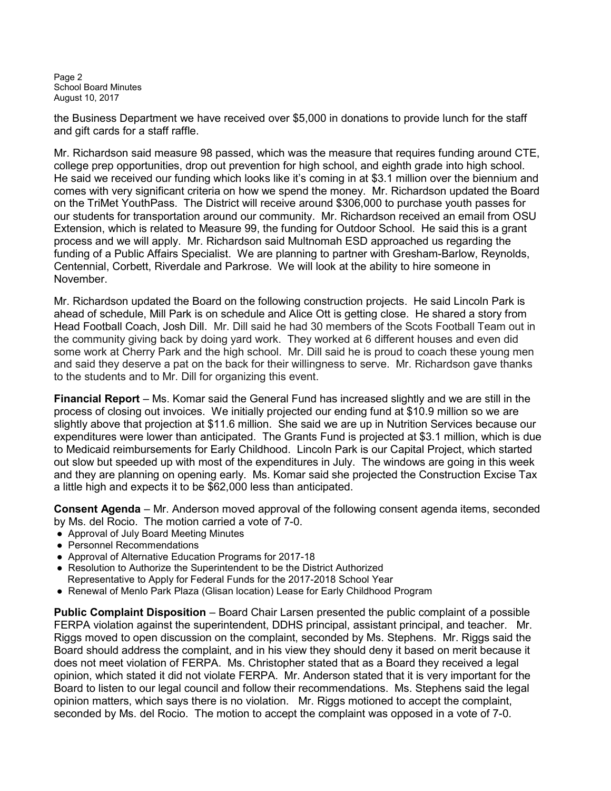Page 2 School Board Minutes August 10, 2017

the Business Department we have received over \$5,000 in donations to provide lunch for the staff and gift cards for a staff raffle.

Mr. Richardson said measure 98 passed, which was the measure that requires funding around CTE, college prep opportunities, drop out prevention for high school, and eighth grade into high school. He said we received our funding which looks like it's coming in at \$3.1 million over the biennium and comes with very significant criteria on how we spend the money. Mr. Richardson updated the Board on the TriMet YouthPass. The District will receive around \$306,000 to purchase youth passes for our students for transportation around our community. Mr. Richardson received an email from OSU Extension, which is related to Measure 99, the funding for Outdoor School. He said this is a grant process and we will apply. Mr. Richardson said Multnomah ESD approached us regarding the funding of a Public Affairs Specialist. We are planning to partner with Gresham-Barlow, Reynolds, Centennial, Corbett, Riverdale and Parkrose. We will look at the ability to hire someone in November.

Mr. Richardson updated the Board on the following construction projects. He said Lincoln Park is ahead of schedule, Mill Park is on schedule and Alice Ott is getting close. He shared a story from Head Football Coach, Josh Dill. Mr. Dill said he had 30 members of the Scots Football Team out in the community giving back by doing yard work. They worked at 6 different houses and even did some work at Cherry Park and the high school. Mr. Dill said he is proud to coach these young men and said they deserve a pat on the back for their willingness to serve. Mr. Richardson gave thanks to the students and to Mr. Dill for organizing this event.

Financial Report – Ms. Komar said the General Fund has increased slightly and we are still in the process of closing out invoices. We initially projected our ending fund at \$10.9 million so we are slightly above that projection at \$11.6 million. She said we are up in Nutrition Services because our expenditures were lower than anticipated. The Grants Fund is projected at \$3.1 million, which is due to Medicaid reimbursements for Early Childhood. Lincoln Park is our Capital Project, which started out slow but speeded up with most of the expenditures in July. The windows are going in this week and they are planning on opening early. Ms. Komar said she projected the Construction Excise Tax a little high and expects it to be \$62,000 less than anticipated.

Consent Agenda – Mr. Anderson moved approval of the following consent agenda items, seconded by Ms. del Rocio. The motion carried a vote of 7-0.

- Approval of July Board Meeting Minutes
- Personnel Recommendations
- Approval of Alternative Education Programs for 2017-18
- Resolution to Authorize the Superintendent to be the District Authorized
- Representative to Apply for Federal Funds for the 2017-2018 School Year
- Renewal of Menlo Park Plaza (Glisan location) Lease for Early Childhood Program

Public Complaint Disposition – Board Chair Larsen presented the public complaint of a possible FERPA violation against the superintendent, DDHS principal, assistant principal, and teacher. Mr. Riggs moved to open discussion on the complaint, seconded by Ms. Stephens. Mr. Riggs said the Board should address the complaint, and in his view they should deny it based on merit because it does not meet violation of FERPA. Ms. Christopher stated that as a Board they received a legal opinion, which stated it did not violate FERPA. Mr. Anderson stated that it is very important for the Board to listen to our legal council and follow their recommendations. Ms. Stephens said the legal opinion matters, which says there is no violation. Mr. Riggs motioned to accept the complaint, seconded by Ms. del Rocio. The motion to accept the complaint was opposed in a vote of 7-0.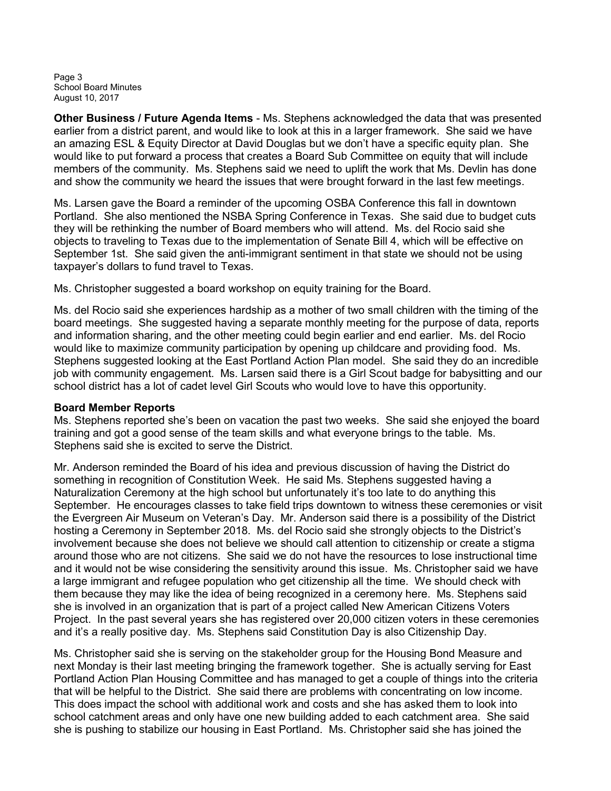Page 3 School Board Minutes August 10, 2017

Other Business / Future Agenda Items - Ms. Stephens acknowledged the data that was presented earlier from a district parent, and would like to look at this in a larger framework. She said we have an amazing ESL & Equity Director at David Douglas but we don't have a specific equity plan. She would like to put forward a process that creates a Board Sub Committee on equity that will include members of the community. Ms. Stephens said we need to uplift the work that Ms. Devlin has done and show the community we heard the issues that were brought forward in the last few meetings.

Ms. Larsen gave the Board a reminder of the upcoming OSBA Conference this fall in downtown Portland. She also mentioned the NSBA Spring Conference in Texas. She said due to budget cuts they will be rethinking the number of Board members who will attend. Ms. del Rocio said she objects to traveling to Texas due to the implementation of Senate Bill 4, which will be effective on September 1st. She said given the anti-immigrant sentiment in that state we should not be using taxpayer's dollars to fund travel to Texas.

Ms. Christopher suggested a board workshop on equity training for the Board.

Ms. del Rocio said she experiences hardship as a mother of two small children with the timing of the board meetings. She suggested having a separate monthly meeting for the purpose of data, reports and information sharing, and the other meeting could begin earlier and end earlier. Ms. del Rocio would like to maximize community participation by opening up childcare and providing food. Ms. Stephens suggested looking at the East Portland Action Plan model. She said they do an incredible job with community engagement. Ms. Larsen said there is a Girl Scout badge for babysitting and our school district has a lot of cadet level Girl Scouts who would love to have this opportunity.

## Board Member Reports

Ms. Stephens reported she's been on vacation the past two weeks. She said she enjoyed the board training and got a good sense of the team skills and what everyone brings to the table. Ms. Stephens said she is excited to serve the District.

Mr. Anderson reminded the Board of his idea and previous discussion of having the District do something in recognition of Constitution Week. He said Ms. Stephens suggested having a Naturalization Ceremony at the high school but unfortunately it's too late to do anything this September. He encourages classes to take field trips downtown to witness these ceremonies or visit the Evergreen Air Museum on Veteran's Day. Mr. Anderson said there is a possibility of the District hosting a Ceremony in September 2018. Ms. del Rocio said she strongly objects to the District's involvement because she does not believe we should call attention to citizenship or create a stigma around those who are not citizens. She said we do not have the resources to lose instructional time and it would not be wise considering the sensitivity around this issue. Ms. Christopher said we have a large immigrant and refugee population who get citizenship all the time. We should check with them because they may like the idea of being recognized in a ceremony here. Ms. Stephens said she is involved in an organization that is part of a project called New American Citizens Voters Project. In the past several years she has registered over 20,000 citizen voters in these ceremonies and it's a really positive day. Ms. Stephens said Constitution Day is also Citizenship Day.

Ms. Christopher said she is serving on the stakeholder group for the Housing Bond Measure and next Monday is their last meeting bringing the framework together. She is actually serving for East Portland Action Plan Housing Committee and has managed to get a couple of things into the criteria that will be helpful to the District. She said there are problems with concentrating on low income. This does impact the school with additional work and costs and she has asked them to look into school catchment areas and only have one new building added to each catchment area. She said she is pushing to stabilize our housing in East Portland. Ms. Christopher said she has joined the